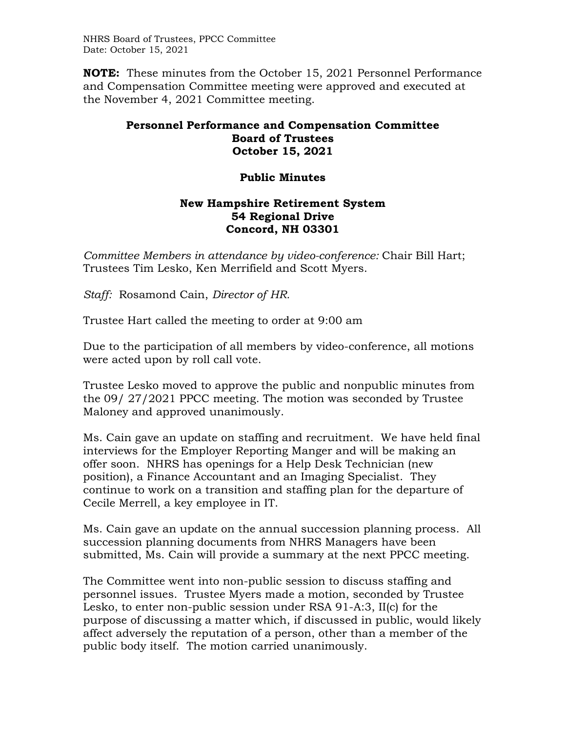NHRS Board of Trustees, PPCC Committee Date: October 15, 2021

**NOTE:** These minutes from the October 15, 2021 Personnel Performance and Compensation Committee meeting were approved and executed at the November 4, 2021 Committee meeting.

## **Personnel Performance and Compensation Committee Board of Trustees October 15, 2021**

## **Public Minutes**

## **New Hampshire Retirement System 54 Regional Drive Concord, NH 03301**

*Committee Members in attendance by video-conference:* Chair Bill Hart; Trustees Tim Lesko, Ken Merrifield and Scott Myers.

*Staff:* Rosamond Cain, *Director of HR.*

Trustee Hart called the meeting to order at 9:00 am

Due to the participation of all members by video-conference, all motions were acted upon by roll call vote.

Trustee Lesko moved to approve the public and nonpublic minutes from the 09/ 27/2021 PPCC meeting. The motion was seconded by Trustee Maloney and approved unanimously.

Ms. Cain gave an update on staffing and recruitment. We have held final interviews for the Employer Reporting Manger and will be making an offer soon. NHRS has openings for a Help Desk Technician (new position), a Finance Accountant and an Imaging Specialist. They continue to work on a transition and staffing plan for the departure of Cecile Merrell, a key employee in IT.

Ms. Cain gave an update on the annual succession planning process. All succession planning documents from NHRS Managers have been submitted, Ms. Cain will provide a summary at the next PPCC meeting.

The Committee went into non-public session to discuss staffing and personnel issues. Trustee Myers made a motion, seconded by Trustee Lesko, to enter non-public session under RSA 91-A:3, II(c) for the purpose of discussing a matter which, if discussed in public, would likely affect adversely the reputation of a person, other than a member of the public body itself. The motion carried unanimously.